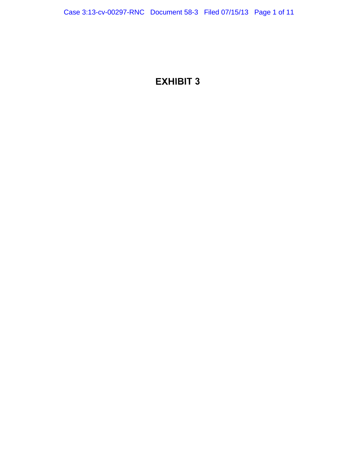# EXHIBIT 3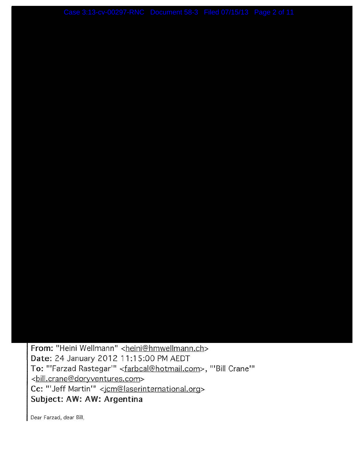From: "Heini Wellmann" <heini@hmwellmann.ch> Date: 24 January 2012 11:15:00 PM AEDT To: "'Farzad Rastegar'" <farbcal@hotmail.com>, "'Bill Crane'" <bill.crane@doryventures.com> Cc: "'Jeff Martin'" <jcm@laserinternational.org> **Subject: AW: AW: Argentina** 

Dear Farzad, dear Bill,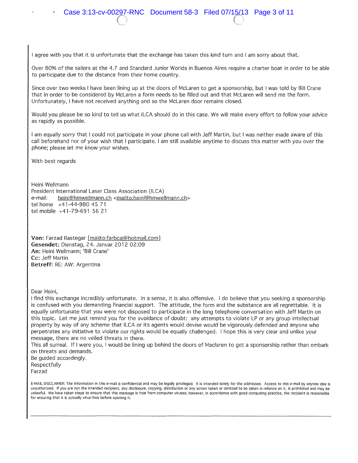Over 80% of the sailors at the 4.7 and Standard Junior Worlds in Buenos Aires require a charter boat in order to be able to participate due to the distance from their home country.

Since over two weeks I have been lining up at the doors of Mclaren to get a sponsorship, but I was told by Bill Crane that in order to be considered by Mclaren a form needs to be filled out and that Mclaren will send me the form. Unfortunately, I have not received anything and so the McLaren door remains closed.

Would you please be so kind to tell us what ILCA should do in this case. We will make every effort to follow your advice as rapidly as possible.

I am equally sorry that I could not participate in your phone call with Jeff Martin, but I was neither made aware of this call beforehand nor of your wish that I participate. I am still available anytime to discuss this matter with you over the phone; please let me know your wishes.

With best regards

Heini Wellmann President International Laser Class Association (ILCA) e-mail: heini@hmwellmann.ch <mailto:heini@hmwellmann.ch> tel horne +41-44-980 45 71 tel mobile +41-79-691 56 21

Von: Farzad Rastegar [mailto:farbcal@hotmail.com] **Gesendet:** Dienstag, 24. Januar 2012 02:09 An: Heini Wellmann; 'Bill Crane' **Cc:** Jeff Martin **Betreff:** RE: AW: Argentina

Dear Heini,

I find this exchange incredibly unfortunate. In a sense, it is also offensive. I do believe that you seeking a sponsorship is confused with you demanding financial support. The attitude, the form and the substance are all regrettable. It is equally unfortunate that you were not disposed to participate in the long telephone conversation with Jeff Martin on this topic. Let me just remind you for the avoidance of doubt: any attempts to violate LP or any group intellectual property by way of any scheme that ILCA or its agents would devise would be vigorously defended and anyone who perpetrates any initiative to violate our rights would be equally challenged. I hope this is very clear and unlike your message, there are no veiled threats in there.

This all surreal. If I were you, I would be lining up behind the doors of Maclaren to get a sponsorship rather than embark on threats and demands.

Be guided accordingly. Respectfully Farzad

E·MAil.. DISCLAIMER: The information in this e·rnail is confidential and may be legally privileged. It is intended solely for the addressee. Access to this e-mail by anyone else is unauthorized. If you are not the intended recipient, any disclosure, copying, distribution or any action taken or omitted to be taken in reliance on it, is prohibited and may be unlawful. We have taken steps to ensure that this message is free from computer viruses; however, in accordance with good computing practice, the recipient is responsible for ensuring that it is actually virus-free before opening it.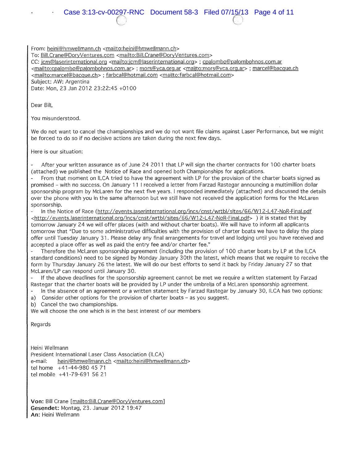From: heini@hmwellmann.ch <mailto:heini@hmwellmann.ch>

To: Bill.Crane@DoryVentures.com <mailto:Bill.Crane@DoryVentures.com>

CC: lcm@laserinternationa!.org <mailto: jcm@laserinternationa!.org> ; cpalombo@palombohnos.com.ar

<mailto:cpalombo@palombohnos.com.ar> ; mors@yca.org.ar <mailto:mors@yca.org.ar> ; marcel@bacque.ch

<mailto:marcel@bacque.ch> ; farbcal@hotmail.com <mailto:farbcal@hotmail.com>

Subject: AW: Argentina

Date: Mon, 23 Jan 2012 23:22:45 +01 00

Dear Bill,

You misunderstood.

We do not want to cancel the championships and we do not want file claims against Laser Performance, but we might be forced to do so if no decisive actions are taken during the next few days.

Here is our situation:

After your written assurance as of June 24 2011 that LP will sign the charter contracts for 100 charter boats (attached) we published the Notice of Race and opened both Championships for applications.

From that moment on ILCA tried to have the agreement with LP for the provision of the charter boats signed as promised - with no success. On January 11 I received a letter from Farzad Rastegar announcing a multimillion dollar sponsorship program by McLaren for the next five years. I responded immediately (attached) and discussed the details over the phone with you in the same afternoon but we still have not received the application forms for the McLaren sponsorship.

In the Notice of Race (http://events.jaserinternational.org/incs/cnst/wrtbl/sites/66/W12-L47-NoR-Final.pdf <http://events.laserinternational.org/incs/cnst/wrtbl/sites/66/W12-L47-NoR-Final.pdf> ) it is stated that by tomorrow January 24 we will offer places (with and without charter boats). We will have to inform all applicants tomorrow that "Due to some administrative difficulties with the provision of charter boats we have to delay the place offer until Tuesday January 31. Please delay any final arrangements for travel and lodging until you have received and accepted a place offer as well as paid the entry fee and/or charter fee."

Therefore the McLaren sponsorship agreement (including the provision of 100 charter boats by LP at the ILCA standard conditions) need to be signed by Monday January 30th the latest, which means that we require to receive the form by Thursday January 26 the latest. We will do our best efforts to send it back by Friday January 27 so that Mclaren/LP can respond until January 30.

If the above deadlines for the sponsorship agreement cannot be met we require a written statement by Farzad Rastegar that the charter boats will be provided by LP under the umbrella of a McLaren sponsorship agreement.

In the absence of an agreement or a written statement by Farzad Rastegar by January 30, ILCA has two options:

a) Consider other options for the provision of charter boats – as you suggest.

b) Cancel the two championships.

We will choose the one which is in the best interest of our members

Regards

Heini Wellmann President International Laser Class Association (ILCA) e-mail: heini@hmwellmann.ch <mailto:heini@hmwellmann.ch> tel horne +41-44-980 45 71 tel mobile +41-79-691 56 21

Von: Bill Crane [mailto:Bill.Crane@DoryVentures.com] **Gesendet: Montag, 23. Januar 2012 19:47 An:** Heini Wellrnann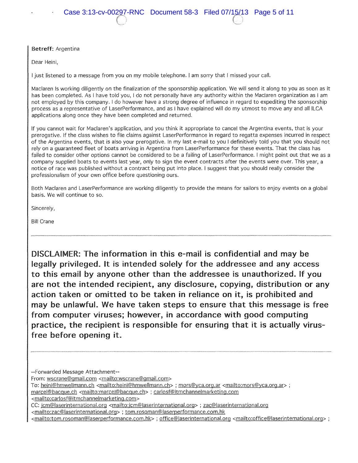Betreff: Argentina

Dear Heini,

I just listened to a message from you on my mobile telephone. I am sorry that I missed your call.

Maclaren Is working diligently on the finalization of the sponsorship application. We will send it along to you as soon as it has been completed. As I have told you, I do not personally have any authority within the Maclaren organization as I am not employed by this company. I do however have a strong degree of influence in regard to expediting the sponsorship process as a representative of LaserPerformance, and as I have explained will do my utmost to move any and all ILCA applications along once they have been completed and returned.

If you cannot wait for Maclaren's application, and you think it appropriate to cancel the Argentina events, that is your prerogative. If the class wishes to file claims against LaserPerformance in regard to regatta expenses incurred in respect of the Argentina events, that is also your prerogative. In my last e-mail to you I definitively told you that you should not rely on a guaranteed fleet of boats arriving in Argentina from LaserPerformance for these events. That the class has failed to consider other options cannot be considered to be a failing of LaserPerformance. I might point out that we as a company supplied boats to events last year, only to sign the event contracts after the events were over. This year, a notice of race was published without a contract being put into place. I suggest that you should really consider the professionalism of your own office before questioning ours.

Both Maclaren and LaserPerformance are working diligently to provide the means for sailors to enjoy events on a global basis. We will continue to so.

Sincerely,

Bill Crane

DISCLAIMER: The information in this e-mail is confidential and may be legally privileged. It is intended solely for the addressee and any access to this email by anyone other than the addressee is unauthorized. If you are not the intended recipient, any disclosure, copying, distribution or any action taken or omitted to be taken in reliance on it, is prohibited and may be unlawful. We have taken steps to ensure that this message is free from computer viruses; however, in accordance with good computing practice, the recipient is responsible for ensuring that it is actually virusfree before opening it.

--Forwarded Message Attachment--

From: wscrane@gmail.com <mailto:wscrane@gmail.com>

To: heini@hmwellmann.ch <mailto:heini@hmwellmann.ch> ; mors@yca.org.ar <mailto:mors@yca.org.ar> ;

marcel@bacque.ch <mailto:marcel@bacque.ch> ; carlosf@itmchannelmarketing.com

<mailto:carlosf@itmchannelmarketing.com>

CC: jcm@laserinternational.org <mailto:jcm@laserinternational.org> ; zac@laserinternational.org

<mailto:zac@laserinternational.org> ; tom.rosoman@laserperformance.com.hk

<mailto:tom.rosoman@laserperformance.com.hk> ; office@laserinternational.org <mailto:office@laserinternational.org> ;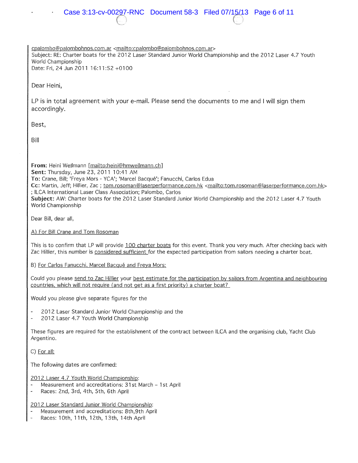cpalombo@palombohnos.com.ar <mailto:cpalombo@palombohnos.com.ar> Subject: RE: Charter boats for the 2012 Laser Standard Junior World Championship and the 2012 Laser 4.7 Youth World Championship Date: Fri, 24 Jun 2011 16:11:52 +0100

Dear Heini,

LP is in total agreement with your e-mail. Please send the documents to me and I will sign them accordingly.

Best,

Bill

**From:** Heini Wellrnann [rnailto:heini@hrnwellmann.ch] **Sent:** Thursday, June 23,2011 10:41 AM **To:** Crane, Bill; 'Freya Mors- YCA'; 'Marcel Bacque'; Fanucchi, Carlos Edua **Cc:** Martin, Jeff; Hillier, Zac ; tom.rosoman@laserperformance.com.hk <mailto:tom.rosoman@laserperformance.com.hk> ; ILCA International Laser Class Association; Palombo, Carlos Subject: AW: Charter boats for the 2012 Laser Standard Junior World Championship and the 2012 Laser 4.7 Youth World Championship

Dear Bill, dear all,

A) For Bill Crane and Tom Rosoman

This is to confirm that LP will provide 100 charter boats for this event. Thank you very much. After checking back with Zac Hillier, this number is considered sufficient for the expected participation from sailors needing a charter boat.

B) For Carlos Fanucchi, Marcel Bacqué and Freya Mors:

Could you please send to Zac Hillier your best estimate for the participation by sailors from Argentina and neighbouring countries, which will not reguire (and not get as a first priority) a charter boat?

Would you please give separate figures for the

- 2012 Laser Standard Junior World Championship and the
- 2012 Laser 4.7 Youth World Championship

These figures are required for the establishment of the contract between ILCA and the organising club, Yacht Club Argentino.

C) For all:

The following dates are confirmed:

2012 Laser 4.7 Youth World Championship:

- Measurement and accreditations: 31st March 1st April
- Races: 2nd, 3rd, 4th, 5th, 6th April

2012 Laser Standard Junior World Championship:

- Measurement and accreditations: 8th,9th April
- Races: 1Oth, 11th, 12th, 13th, 14th April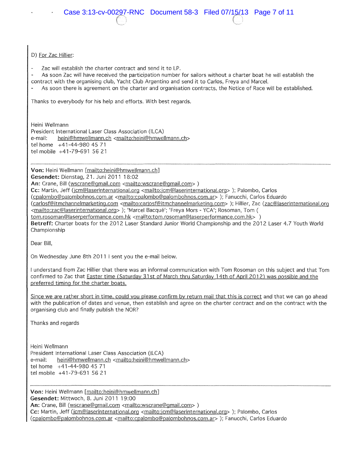## D) For Zac Hillier:

Zac will establish the charter contract and send it to LP.

As soon Zac will have received the participation number for sailors without a charter boat he will establish the contract with the organising club, Yacht Club Argentino and send it to Carlos, Freya and Marcel.

As soon there is agreement on the charter and organisation contracts, the Notice of Race will be established.

Thanks to everybody for his help and efforts. With best regards.

Heini Wellmann President International Laser Class Association (ILCA) e-mail: heini@hmwellmann.ch <mailto:heini@hmwellmann.ch> tel home +41-44-980 45 71 tel mobile +41-79-691 56 21

**Von:** Heini Wellmann [mailto:heini@hmwellmann.ch]

**Gesendet:** Dienstag, 21. Juni 2011 18:02

An: Crane, Bill (wscrane@gmail.com <mailto:wscrane@gmail.com>)

Cc: Martin, Jeff (jcm@laserinternational.org <mailto: jcm@laserinternational.org> ); Palombo, Carlos (cpalombo@Qalombohnos.com.ar <mailto:cQalombo@Qalombohnos.cQm.ar> ); Fanucchi, Carlos Eduardo

(carlosf@itmchannelmarketing.com <mailto:carlosf@itmchannelmarketing.com>); Hillier, Zac (zac@laserinternational.org <mailto:zac@laserinternational.org>); 'Marcel Bacqué'; 'Freya Mors - YCA'; Rosoman, Tom (

tom.rosoman@laserperformance.com.hk <mailto:tom.rosoman@laserperformance.com.hk>)

**Betreff:** Charter boats for the 2012 Laser Standard Junior World Championship and the 2012 Laser 4. 7 Youth World Championship

Dear Bill,

On Wednesday June 8th 2011 I sent you the e-mail below.

I understand from Zac Hillier that there was an informal communication with Tom Rosoman on this subject and that Tom confirmed to Zac that Easter time (Saturday 31st of March thru Saturday 14th of April 2012) was possible and the preferred timing for the charter boats.

Since we are rather short in time, could you please confirm by return mail that this is correct and that we can go ahead with the publication of dates and venue, then establish and agree on the charter contract and on the contract with the organising club and finally publish the NOR?

Thanks and regards

Heini Wellmann President International Laser Class Association (ILCA) e-mail: heini@hmwellmann.ch <mailto:heini@hmwellmann.ch> tel home +41-44-980 45 71 tel mobile +41-79-691 56 21

**Von:** Heini Wellmann [mailto:heini@hmwellmann.ch] **Gesendet:** Mittwoch, 8. Juni 2011 19:00 An: Crane, Bill (wscrane@gmail.com <mailto:wscrane@gmail.com>) Cc: Martin, Jeff (jcm@laserinternational.org <mailto:jcm@laserinternational.org> ); Palombo, Carlos (cpalombo@palombohnos.com.ar <mailto:cpalombo@palombohnos.com.ar> ); Fanucchi, Carlos Eduardo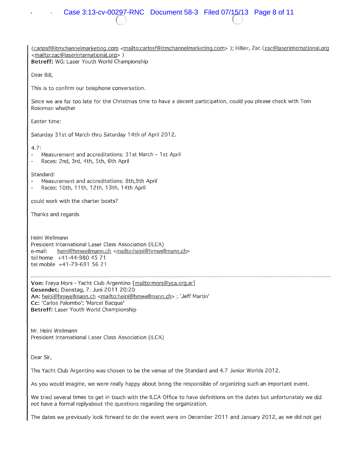(carlosf@itmchannelmarketing.com <mailto:carlosf@itmchannelmarketing.com> ); Hillier, Zac (zac@laserinternational.org <mailto:zac@laserinternational.org> )

**Betreff:** WG: Laser Youth World Championship

Dear Bill,

This is to confirm our telephone conversation.

Since we are far too late for the Christmas time to have a decent participation, could you please check with Tom Rosoman whether

Easter time:

Saturday 31st of March thru Saturday 14th of April 2012.

4.7:

- Measurement and accreditations: 31st March 1st April
- Races: 2nd, 3rd, 4th, 5th, 6th April

Standard:

- Measurement and accreditations: 8th,9th April
- Races: 1Oth, 11th, 12th, 13th, 14th April  $\overline{a}$

could work with the charter boats?

Thanks and regards

Heini Wellmann President International Laser Class Association (ILCA) e-mail: heini@hmwellmann.ch <mailto:heini@hmwellmann.ch> tel home +41-44-980 45 71 tel mobile +41-79-691 56 21

**Von:** Freya Mors - Yacht Club Argentino [mailto:mors@yca.org.ar] **Gesendet:** Dienstag, 7. Juni 2011 20:20 An: heini@hmwellmann.ch <mailto:heini@hmwellmann.ch> ; 'Jeff Martin' **Cc:** 'Carlos Palombo'; 'Marcel Bacque' **Betreff:** Laser Youth World Championship

Mr. Heini Wellmann President International Laser Class Association (ILCA)

Dear Sir,

The Yacht Club Argentino was chosen to be the venue of the Standard and 4.7 Junior Worlds 2012.

As you would imagine, we were really happy about being the responsible of organizing such an important event.

We tried several times to get in touch with the ILCA Office to have definitions on the dates but unfortunately we did not have a formal replyabout the questions regarding the organization.

The dates we previously look forward to do the event were on December 2011 and January 2012, as we did not get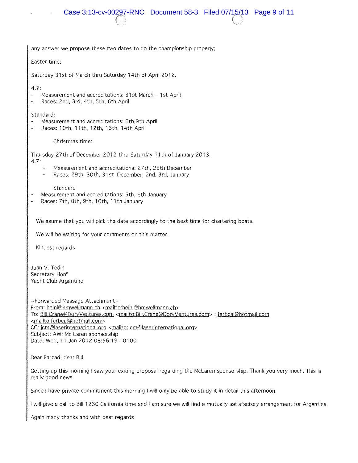

any answer we propose these two dates to do the championship properly;

Easter time:

Saturday 31st of March thru Saturday 14th of April 2012.

4.7:

- Measurement and accreditations: 31 st March 1 st April
- $\overline{a}$ Races: 2nd, 3rd, 4th, 5th, 6th April

### Standard:

- Measurement and accreditations: 8th,9th April
- Races: 1Oth, 11th, 12th, 13th, 14th April  $\overline{a}$

Christmas time:

Thursday 27th of December 2012 thru Saturday 11th of January 2013.

4.7:

- Measurement and accreditations: 27th, 28th December
- Races: 29th, 30th, 31st December, 2nd, 3rd, January

### **Standard**

- Measurement and accreditations: 5th, 6th January
- Races: 7th, 8th, 9th, 1Oth, 11th January

We asume that you will pick the date accordingly to the best time for chartering boats.

We will be waiting for your comments on this matter.

Kindest regards

Juan V. Tedin Secretary Hon<sup>o</sup> Yacht Club Argentino

--Forwarded Message Attachment-- From: heini@hmwellmann.ch <mailto:heini@hmwellmann.ch> To: Bill.Crane@DoryVentures.com <mailto:Bill.Crane@DoryVentures.com> ; farbcal@hotmail.com <mailto:farbcal@hotmail.com> CC: jcm@laserinternational.org <mailto:jcm@laserinternational.org> Subject: AW: Me Laren sponsorship Date: Wed, 11 Jan 2012 08:56:19 +0100

Dear Farzad, dear Bill,

Getting up this morning I saw your exiting proposal regarding the Mclaren sponsorship. Thank you very much. This is really good news.

Since I have private commitment this morning I will only be able to study it in detail this afternoon.

I will give a call to Bill 1230 California time and I am sure we will find a mutually satisfactory arrangement for Argentina.

Again many thanks and with best regards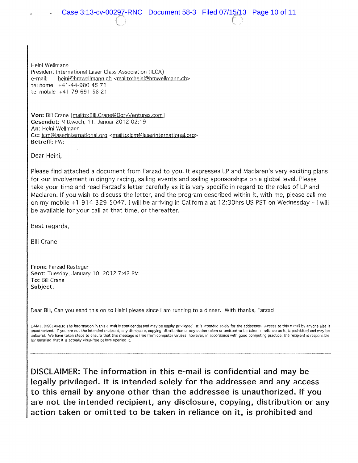Case 3:13-cv-00297-RNC Document 58-3 Filed 07/15/13 Page 10 of 11

Heini Wellmann President International Laser Class Association (ILCA) e-mail: heini@hmwellmann.ch <mailto:heini@hmwellmann.ch> tel home +41-44-980 45 71 tel mobile +41-79-691 56 21

Von: Bill Crane [mailto: Bill.Crane@DoryVentures.com] Gesendet: Mittwoch, 11. Januar 2012 02:19 An: Heini Wellmann Cc: jcm@laserinternational.org <mailto:jcm@laserinternational.org> Betreff: FW:

Dear Heini,

Please find attached a document from Farzad to you. It expresses LP and Maclaren's very exciting plans for our involvement in dinghy racing, sailing events and sailing sponsorships on a global level. Please take your time and read Farzad's letter carefully as it is very specific in regard to the roles of LP and Maclaren. If you wish to discuss the letter, and the program described within it, with me, please call me on my mobile +1 914 329 5047. I will be arriving in California at 12:30hrs US PST on Wednesday - I will be available for your call at that time, or thereafter.

Best regards,

Bill Crane

From: Farzad Rastegar Sent: Tuesday, January 10, 2012 7:43 PM To: Bill Crane Subject:

Dear Bill, Can you send this on to Heini please since I am running to a dinner. With thanks, Farzad

E-MAIL DISCLAIMER: The information in this e-mail is confidential and may be legally privileged. It is intended solely for the addressee. Access to this e-mail by anyone else is unauthorized. If you are not the intended recipient, any disclosure, copying, distribution or any action taken or omitted to be taken in reliance on it, is prohibited and may be unlawful. We have taken steps to ensure that this message is free from computer viruses; however, in accordance with good computing practice, the recipient is responsible for ensuring that it is actually virus-free before opening it.

DISCLAIMER: The information in this e-mail is confidential and may be legally privileged. It is intended solely for the addressee and any access to this email by anyone other than the addressee is unauthorized. If you are not the intended recipient, any disclosure, copying, distribution or any action taken or omitted to be taken in reliance on it, is prohibited and